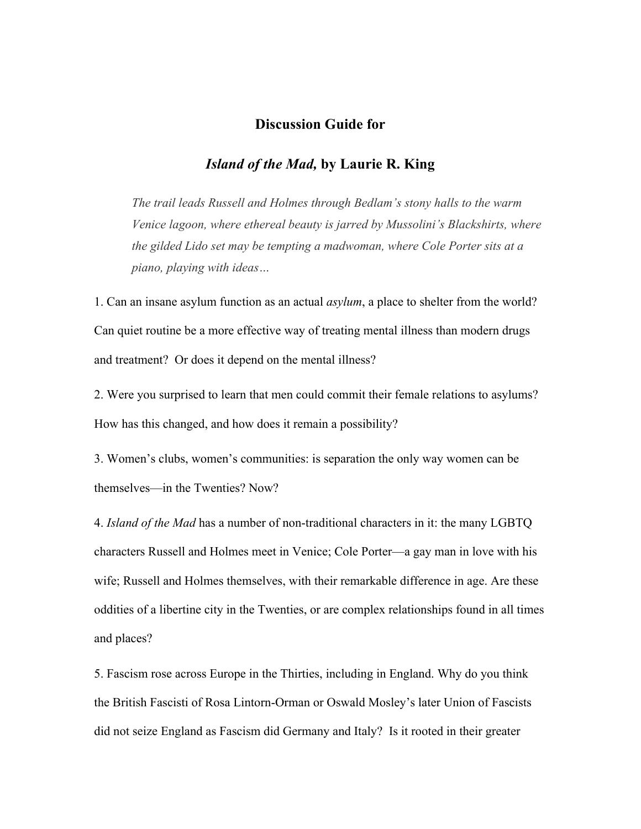## **Discussion Guide for**

## *Island of the Mad,* **by Laurie R. King**

*The trail leads Russell and Holmes through Bedlam's stony halls to the warm Venice lagoon, where ethereal beauty is jarred by Mussolini's Blackshirts, where the gilded Lido set may be tempting a madwoman, where Cole Porter sits at a piano, playing with ideas…*

1. Can an insane asylum function as an actual *asylum*, a place to shelter from the world? Can quiet routine be a more effective way of treating mental illness than modern drugs and treatment? Or does it depend on the mental illness?

2. Were you surprised to learn that men could commit their female relations to asylums? How has this changed, and how does it remain a possibility?

3. Women's clubs, women's communities: is separation the only way women can be themselves—in the Twenties? Now?

4. *Island of the Mad* has a number of non-traditional characters in it: the many LGBTQ characters Russell and Holmes meet in Venice; Cole Porter—a gay man in love with his wife; Russell and Holmes themselves, with their remarkable difference in age. Are these oddities of a libertine city in the Twenties, or are complex relationships found in all times and places?

5. Fascism rose across Europe in the Thirties, including in England. Why do you think the British Fascisti of Rosa Lintorn-Orman or Oswald Mosley's later Union of Fascists did not seize England as Fascism did Germany and Italy? Is it rooted in their greater